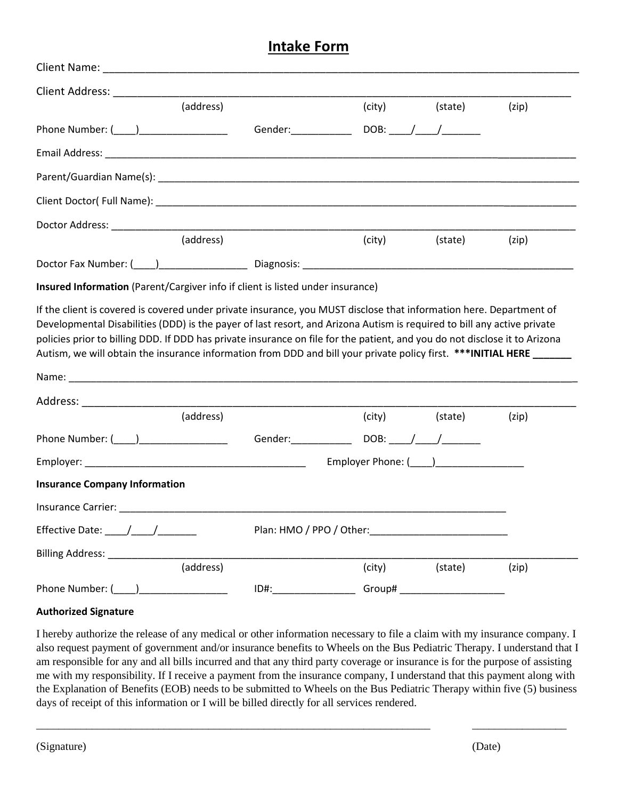## **Intake Form**

| (address)                                                                                                                                                                                                                                                                                                                                                                                                         |                          |                                         | (city) (state)                   | (zip) |
|-------------------------------------------------------------------------------------------------------------------------------------------------------------------------------------------------------------------------------------------------------------------------------------------------------------------------------------------------------------------------------------------------------------------|--------------------------|-----------------------------------------|----------------------------------|-------|
|                                                                                                                                                                                                                                                                                                                                                                                                                   |                          |                                         |                                  |       |
|                                                                                                                                                                                                                                                                                                                                                                                                                   |                          |                                         |                                  |       |
|                                                                                                                                                                                                                                                                                                                                                                                                                   |                          |                                         |                                  |       |
|                                                                                                                                                                                                                                                                                                                                                                                                                   |                          |                                         |                                  |       |
| Doctor Address: ______________                                                                                                                                                                                                                                                                                                                                                                                    |                          |                                         |                                  |       |
|                                                                                                                                                                                                                                                                                                                                                                                                                   | (address)                | (city)                                  | (state)                          | (zip) |
| Doctor Fax Number: ( ) Diagnosis: Diagnosis:                                                                                                                                                                                                                                                                                                                                                                      |                          |                                         |                                  |       |
| Insured Information (Parent/Cargiver info if client is listed under insurance)                                                                                                                                                                                                                                                                                                                                    |                          |                                         |                                  |       |
|                                                                                                                                                                                                                                                                                                                                                                                                                   |                          |                                         |                                  |       |
| (address)                                                                                                                                                                                                                                                                                                                                                                                                         |                          |                                         | (city) (state)                   | (zip) |
|                                                                                                                                                                                                                                                                                                                                                                                                                   |                          |                                         |                                  |       |
|                                                                                                                                                                                                                                                                                                                                                                                                                   |                          | Employer Phone: (____)_________________ |                                  |       |
| <b>Insurance Company Information</b>                                                                                                                                                                                                                                                                                                                                                                              |                          |                                         |                                  |       |
| Insurance Carrier: New York State Control of the Carrier Control of the Carrier Control of the Carrier Control of the Carrier Control of the Carrier Control of the Carrier Control of the Carrier Control of the Carrier Cont                                                                                                                                                                                    |                          |                                         |                                  |       |
| Effective Date: $\frac{1}{\sqrt{1-\frac{1}{2}}}\frac{1}{\sqrt{1-\frac{1}{2}}}\frac{1}{\sqrt{1-\frac{1}{2}}}\frac{1}{\sqrt{1-\frac{1}{2}}}\frac{1}{\sqrt{1-\frac{1}{2}}}\frac{1}{\sqrt{1-\frac{1}{2}}}\frac{1}{\sqrt{1-\frac{1}{2}}}\frac{1}{\sqrt{1-\frac{1}{2}}}\frac{1}{\sqrt{1-\frac{1}{2}}}\frac{1}{\sqrt{1-\frac{1}{2}}}\frac{1}{\sqrt{1-\frac{1}{2}}}\frac{1}{\sqrt{1-\frac{1}{2}}}\frac{1}{\sqrt{1-\frac{$ | Plan: HMO / PPO / Other: |                                         |                                  |       |
| Billing Address: _______________                                                                                                                                                                                                                                                                                                                                                                                  |                          |                                         |                                  |       |
|                                                                                                                                                                                                                                                                                                                                                                                                                   | (address)                | (city)                                  | (state)                          | (zip) |
|                                                                                                                                                                                                                                                                                                                                                                                                                   |                          |                                         | Group# _________________________ |       |
| <b>Authorized Signature</b>                                                                                                                                                                                                                                                                                                                                                                                       |                          |                                         |                                  |       |

I hereby authorize the release of any medical or other information necessary to file a claim with my insurance company. I also request payment of government and/or insurance benefits to Wheels on the Bus Pediatric Therapy. I understand that I am responsible for any and all bills incurred and that any third party coverage or insurance is for the purpose of assisting me with my responsibility. If I receive a payment from the insurance company, I understand that this payment along with the Explanation of Benefits (EOB) needs to be submitted to Wheels on the Bus Pediatric Therapy within five (5) business days of receipt of this information or I will be billed directly for all services rendered.

\_\_\_\_\_\_\_\_\_\_\_\_\_\_\_\_\_\_\_\_\_\_\_\_\_\_\_\_\_\_\_\_\_\_\_\_\_\_\_\_\_\_\_\_\_\_\_\_\_\_\_\_\_\_\_\_\_\_\_\_\_\_\_\_\_\_\_\_\_\_\_ \_\_\_\_\_\_\_\_\_\_\_\_\_\_\_\_\_